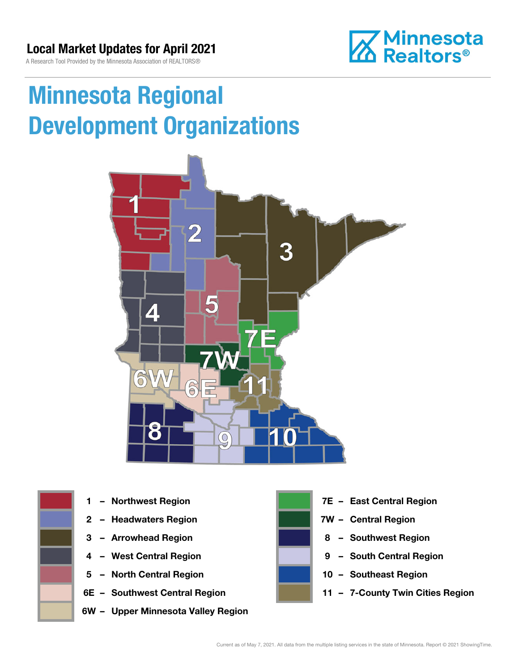A Research Tool Provided by the Minnesota Association of REALTORS®



# Minnesota Regional Development Organizations





- 
- 
- 
- 
- 5 North Central Region 10 Southeast Region
- 
- 6W Upper Minnesota Valley Region



- 1 Northwest Region **1 1999 12 Property Contral Region**
- 2 Headwaters Region **1988 7W Central Region**
- 3 Arrowhead Region **8 Southwest Region**
- 4 West Central Region **19 South Central Region** 
	-
- 6E Southwest Central Region **11 7-County Twin Cities Region**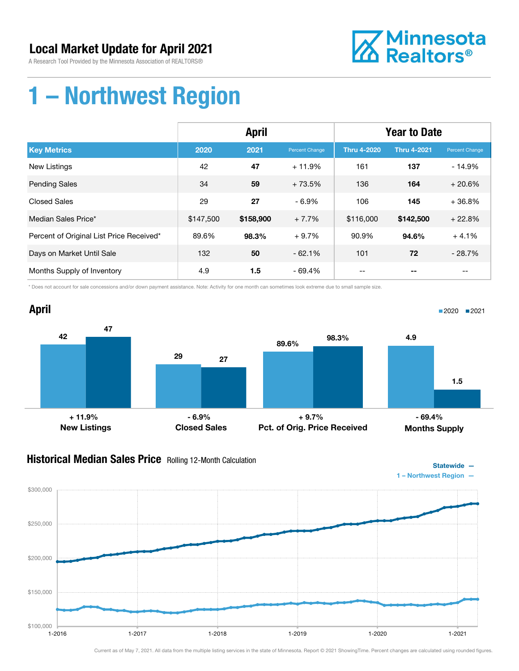A Research Tool Provided by the Minnesota Association of REALTORS®



## 1 – Northwest Region

|                                          | <b>April</b> |           |                | <b>Year to Date</b> |                    |                       |
|------------------------------------------|--------------|-----------|----------------|---------------------|--------------------|-----------------------|
| <b>Key Metrics</b>                       | 2020         | 2021      | Percent Change | <b>Thru 4-2020</b>  | <b>Thru 4-2021</b> | <b>Percent Change</b> |
| <b>New Listings</b>                      | 42           | 47        | $+11.9%$       | 161                 | 137                | $-14.9%$              |
| <b>Pending Sales</b>                     | 34           | 59        | $+73.5%$       | 136                 | 164                | $+20.6%$              |
| <b>Closed Sales</b>                      | 29           | 27        | $-6.9%$        | 106                 | 145                | $+36.8%$              |
| Median Sales Price*                      | \$147,500    | \$158,900 | $+7.7%$        | \$116,000           | \$142,500          | $+22.8%$              |
| Percent of Original List Price Received* | 89.6%        | 98.3%     | $+9.7%$        | 90.9%               | 94.6%              | $+4.1%$               |
| Days on Market Until Sale                | 132          | 50        | $-62.1%$       | 101                 | 72                 | $-28.7%$              |
| Months Supply of Inventory               | 4.9          | 1.5       | $-69.4%$       |                     |                    |                       |

\* Does not account for sale concessions and/or down payment assistance. Note: Activity for one month can sometimes look extreme due to small sample size.



#### **Historical Median Sales Price** Rolling 12-Month Calculation



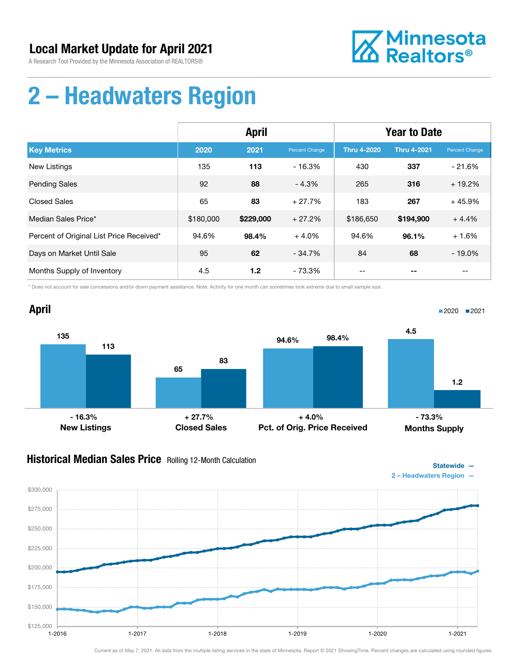A Research Tool Provided by the Minnesota Association of REALTORS®



## 2 – Headwaters Region

|                                          | <b>April</b> |           |                | <b>Year to Date</b> |                    |                |
|------------------------------------------|--------------|-----------|----------------|---------------------|--------------------|----------------|
| <b>Key Metrics</b>                       | 2020         | 2021      | Percent Change | <b>Thru 4-2020</b>  | <b>Thru 4-2021</b> | Percent Change |
| <b>New Listings</b>                      | 135          | 113       | $-16.3%$       | 430                 | 337                | $-21.6%$       |
| <b>Pending Sales</b>                     | 92           | 88        | $-4.3%$        | 265                 | 316                | $+19.2%$       |
| <b>Closed Sales</b>                      | 65           | 83        | $+27.7%$       | 183                 | 267                | $+45.9%$       |
| Median Sales Price*                      | \$180,000    | \$229,000 | $+27.2%$       | \$186,650           | \$194,900          | $+4.4%$        |
| Percent of Original List Price Received* | 94.6%        | 98.4%     | $+4.0%$        | 94.6%               | 96.1%              | $+1.6%$        |
| Days on Market Until Sale                | 95           | 62        | $-34.7%$       | 84                  | 68                 | $-19.0%$       |
| Months Supply of Inventory               | 4.5          | 1.2       | - 73.3%        |                     |                    |                |

\* Does not account for sale concessions and/or down payment assistance. Note: Activity for one month can sometimes look extreme due to small sample size.



### Historical Median Sales Price Rolling 12-Month Calculation



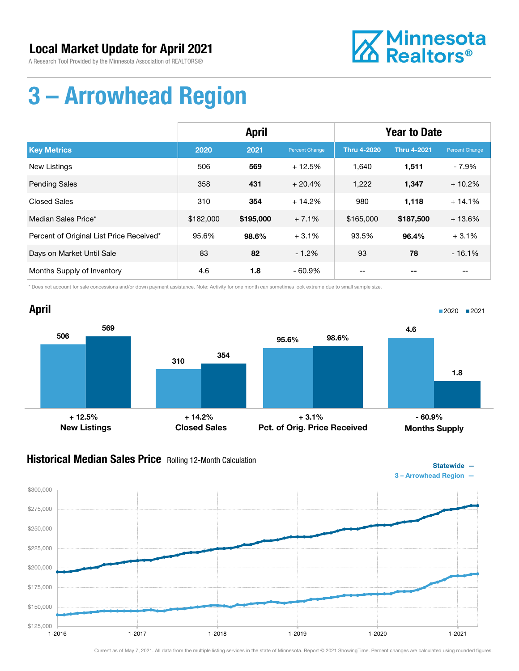A Research Tool Provided by the Minnesota Association of REALTORS®



## 3 – Arrowhead Region

|                                          | <b>April</b> |           |                | <b>Year to Date</b> |                    |                |
|------------------------------------------|--------------|-----------|----------------|---------------------|--------------------|----------------|
| <b>Key Metrics</b>                       | 2020         | 2021      | Percent Change | <b>Thru 4-2020</b>  | <b>Thru 4-2021</b> | Percent Change |
| <b>New Listings</b>                      | 506          | 569       | $+12.5%$       | 1,640               | 1,511              | $-7.9%$        |
| <b>Pending Sales</b>                     | 358          | 431       | $+20.4%$       | 1,222               | 1,347              | $+10.2%$       |
| <b>Closed Sales</b>                      | 310          | 354       | $+14.2%$       | 980                 | 1,118              | $+14.1%$       |
| Median Sales Price*                      | \$182,000    | \$195,000 | $+7.1%$        | \$165,000           | \$187,500          | $+13.6%$       |
| Percent of Original List Price Received* | 95.6%        | 98.6%     | $+3.1%$        | 93.5%               | 96.4%              | $+3.1%$        |
| Days on Market Until Sale                | 83           | 82        | $-1.2%$        | 93                  | 78                 | $-16.1%$       |
| Months Supply of Inventory               | 4.6          | 1.8       | $-60.9%$       | --                  |                    | --             |

\* Does not account for sale concessions and/or down payment assistance. Note: Activity for one month can sometimes look extreme due to small sample size.



#### Historical Median Sales Price Rolling 12-Month Calculation



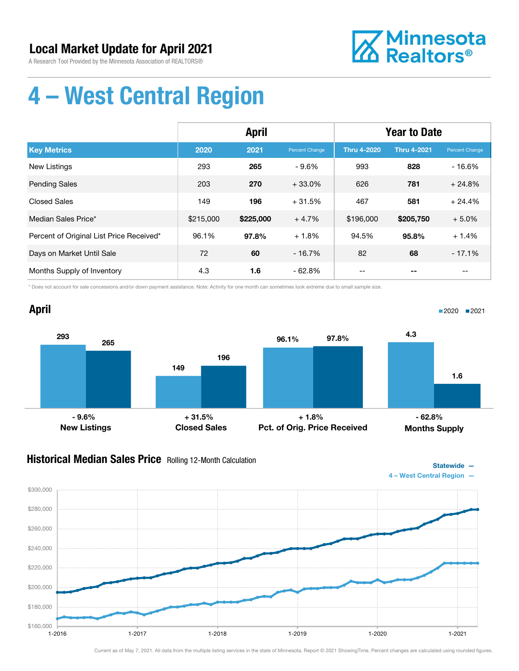A Research Tool Provided by the Minnesota Association of REALTORS®



# 4 – West Central Region

|                                          | <b>April</b> |           |                | <b>Year to Date</b> |                    |                |
|------------------------------------------|--------------|-----------|----------------|---------------------|--------------------|----------------|
| <b>Key Metrics</b>                       | 2020         | 2021      | Percent Change | <b>Thru 4-2020</b>  | <b>Thru 4-2021</b> | Percent Change |
| <b>New Listings</b>                      | 293          | 265       | $-9.6%$        | 993                 | 828                | $-16.6%$       |
| <b>Pending Sales</b>                     | 203          | 270       | $+33.0%$       | 626                 | 781                | $+24.8%$       |
| <b>Closed Sales</b>                      | 149          | 196       | $+31.5%$       | 467                 | 581                | $+24.4%$       |
| Median Sales Price*                      | \$215,000    | \$225,000 | $+4.7%$        | \$196,000           | \$205,750          | $+5.0%$        |
| Percent of Original List Price Received* | 96.1%        | 97.8%     | $+1.8%$        | 94.5%               | 95.8%              | $+1.4%$        |
| Days on Market Until Sale                | 72           | 60        | $-16.7%$       | 82                  | 68                 | $-17.1%$       |
| Months Supply of Inventory               | 4.3          | 1.6       | $-62.8%$       | --                  |                    | --             |

\* Does not account for sale concessions and/or down payment assistance. Note: Activity for one month can sometimes look extreme due to small sample size.

### April



### Historical Median Sales Price Rolling 12-Month Calculation



 $2020$  2021

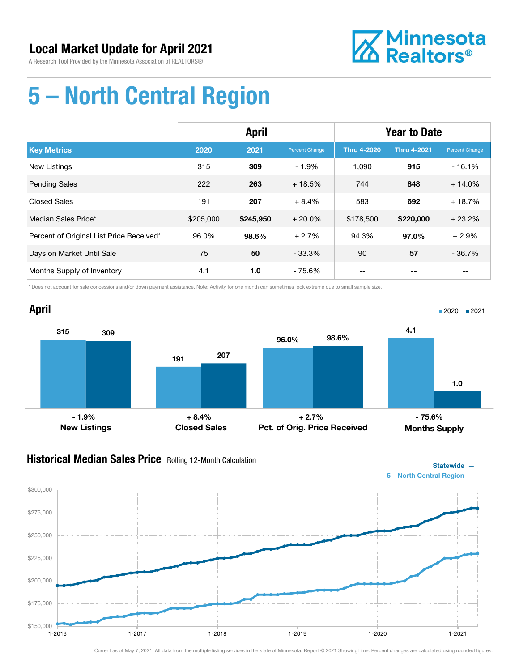A Research Tool Provided by the Minnesota Association of REALTORS®



# 5 – North Central Region

|                                          | <b>April</b> |           |                | <b>Year to Date</b> |                    |                   |
|------------------------------------------|--------------|-----------|----------------|---------------------|--------------------|-------------------|
| <b>Key Metrics</b>                       | 2020         | 2021      | Percent Change | <b>Thru 4-2020</b>  | <b>Thru 4-2021</b> | Percent Change    |
| New Listings                             | 315          | 309       | $-1.9%$        | 1,090               | 915                | $-16.1%$          |
| <b>Pending Sales</b>                     | 222          | 263       | $+18.5%$       | 744                 | 848                | $+14.0%$          |
| <b>Closed Sales</b>                      | 191          | 207       | $+8.4%$        | 583                 | 692                | $+18.7%$          |
| Median Sales Price*                      | \$205,000    | \$245,950 | $+20.0\%$      | \$178,500           | \$220,000          | $+23.2%$          |
| Percent of Original List Price Received* | 96.0%        | 98.6%     | $+2.7%$        | 94.3%               | 97.0%              | $+2.9%$           |
| Days on Market Until Sale                | 75           | 50        | $-33.3%$       | 90                  | 57                 | $-36.7%$          |
| Months Supply of Inventory               | 4.1          | 1.0       | - 75.6%        | $- -$               | --                 | $\qquad \qquad -$ |

\* Does not account for sale concessions and/or down payment assistance. Note: Activity for one month can sometimes look extreme due to small sample size.



#### **Historical Median Sales Price** Rolling 12-Month Calculation



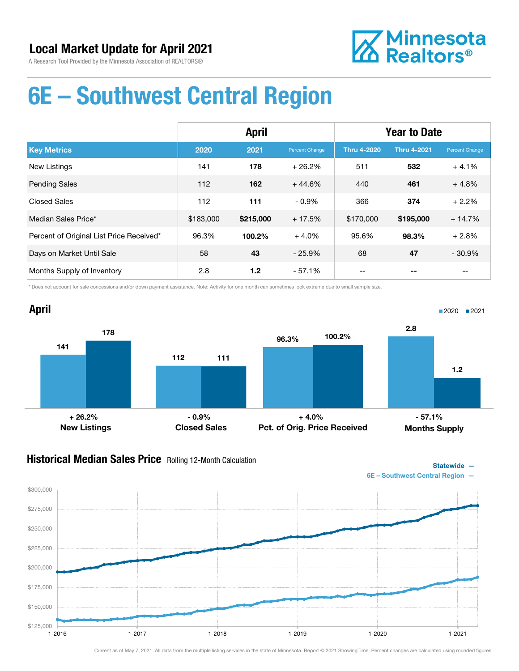



## 6E – Southwest Central Region

|                                          | <b>April</b> |           |                | <b>Year to Date</b> |                    |                |
|------------------------------------------|--------------|-----------|----------------|---------------------|--------------------|----------------|
| <b>Key Metrics</b>                       | 2020         | 2021      | Percent Change | <b>Thru 4-2020</b>  | <b>Thru 4-2021</b> | Percent Change |
| <b>New Listings</b>                      | 141          | 178       | $+26.2%$       | 511                 | 532                | $+4.1%$        |
| <b>Pending Sales</b>                     | 112          | 162       | $+44.6%$       | 440                 | 461                | $+4.8%$        |
| <b>Closed Sales</b>                      | 112          | 111       | $-0.9\%$       | 366                 | 374                | $+2.2%$        |
| Median Sales Price*                      | \$183,000    | \$215,000 | $+17.5%$       | \$170,000           | \$195,000          | $+14.7%$       |
| Percent of Original List Price Received* | 96.3%        | 100.2%    | $+4.0%$        | 95.6%               | 98.3%              | $+2.8%$        |
| Days on Market Until Sale                | 58           | 43        | $-25.9%$       | 68                  | 47                 | $-30.9%$       |
| Months Supply of Inventory               | 2.8          | 1.2       | - 57.1%        |                     |                    |                |

\* Does not account for sale concessions and/or down payment assistance. Note: Activity for one month can sometimes look extreme due to small sample size.



#### **Historical Median Sales Price** Rolling 12-Month Calculation



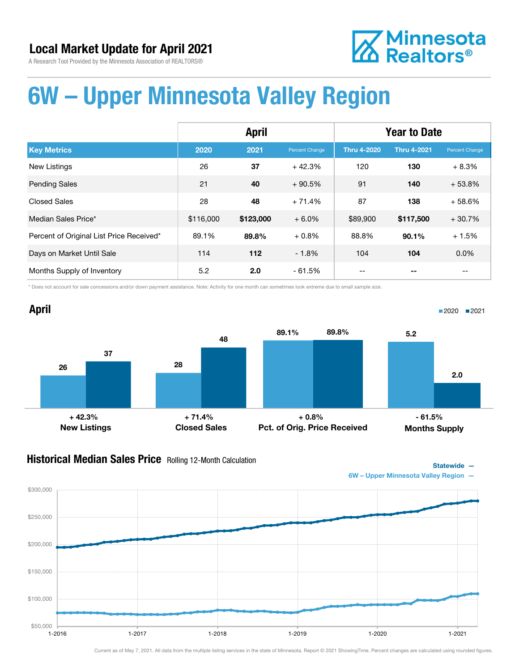

A Research Tool Provided by the Minnesota Association of REALTORS®

## 6W – Upper Minnesota Valley Region

|                                          | <b>April</b> |           |                       | <b>Year to Date</b> |                    |                |
|------------------------------------------|--------------|-----------|-----------------------|---------------------|--------------------|----------------|
| <b>Key Metrics</b>                       | 2020         | 2021      | <b>Percent Change</b> | <b>Thru 4-2020</b>  | <b>Thru 4-2021</b> | Percent Change |
| <b>New Listings</b>                      | 26           | 37        | $+42.3%$              | 120                 | 130                | $+8.3%$        |
| <b>Pending Sales</b>                     | 21           | 40        | $+90.5%$              | 91                  | 140                | $+53.8%$       |
| <b>Closed Sales</b>                      | 28           | 48        | $+71.4%$              | 87                  | 138                | $+58.6%$       |
| Median Sales Price*                      | \$116,000    | \$123,000 | $+6.0%$               | \$89,900            | \$117,500          | $+30.7%$       |
| Percent of Original List Price Received* | 89.1%        | 89.8%     | $+0.8%$               | 88.8%               | 90.1%              | $+1.5%$        |
| Days on Market Until Sale                | 114          | 112       | $-1.8%$               | 104                 | 104                | $0.0\%$        |
| Months Supply of Inventory               | 5.2          | 2.0       | - 61.5%               |                     |                    |                |

\* Does not account for sale concessions and/or down payment assistance. Note: Activity for one month can sometimes look extreme due to small sample size.



#### **Historical Median Sales Price** Rolling 12-Month Calculation



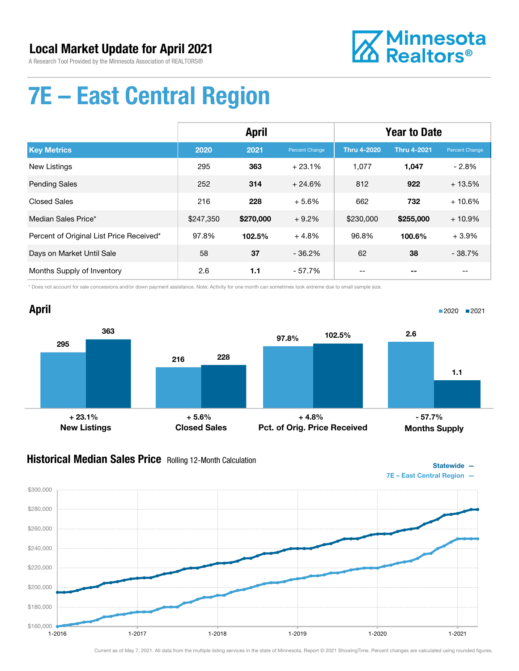A Research Tool Provided by the Minnesota Association of REALTORS®



# 7E – East Central Region

|                                          | <b>April</b> |           |                | <b>Year to Date</b> |                    |                |
|------------------------------------------|--------------|-----------|----------------|---------------------|--------------------|----------------|
| <b>Key Metrics</b>                       | 2020         | 2021      | Percent Change | <b>Thru 4-2020</b>  | <b>Thru 4-2021</b> | Percent Change |
| <b>New Listings</b>                      | 295          | 363       | $+23.1%$       | 1.077               | 1,047              | $-2.8%$        |
| <b>Pending Sales</b>                     | 252          | 314       | $+24.6%$       | 812                 | 922                | $+13.5%$       |
| <b>Closed Sales</b>                      | 216          | 228       | $+5.6%$        | 662                 | 732                | $+10.6%$       |
| Median Sales Price*                      | \$247.350    | \$270,000 | $+9.2%$        | \$230,000           | \$255,000          | $+10.9%$       |
| Percent of Original List Price Received* | 97.8%        | 102.5%    | $+4.8%$        | 96.8%               | 100.6%             | $+3.9%$        |
| Days on Market Until Sale                | 58           | 37        | $-36.2%$       | 62                  | 38                 | $-38.7%$       |
| Months Supply of Inventory               | 2.6          | 1.1       | $-57.7%$       | --                  |                    | --             |

\* Does not account for sale concessions and/or down payment assistance. Note: Activity for one month can sometimes look extreme due to small sample size.

#### April 295 216 363 228 New Listings Closed Sales 97.8% 102.5% Pct. of Orig. Price Received 2.6 1.1 Months Supply ■2020 2021  $+ 23.1\%$  - 5.6% + 5.6% + 4.8% + 4.8% + 5.6% + 4.8% + 5.6% + 5.6% + 5.6% + 5.6% + 5.6% + 5.6% + 5.6% + 5.6% + 5.6% + 5.6% + 5.6% + 5.6% + 5.6% + 5.6% + 5.6% + 5.6% + 5.6% + 5.6% + 5.6% + 5.6% + 5.6% + 5.6% + 5.6% + 5.6%

#### Historical Median Sales Price Rolling 12-Month Calculation



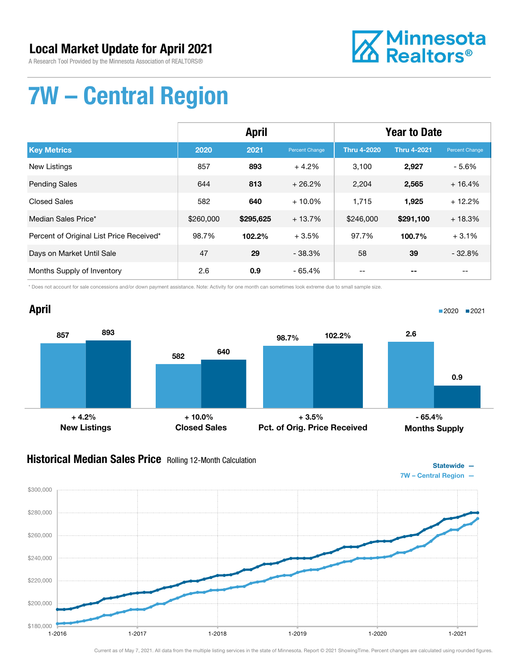A Research Tool Provided by the Minnesota Association of REALTORS®



# 7W – Central Region

|                                          | <b>April</b> |           |                | <b>Year to Date</b> |                    |                |
|------------------------------------------|--------------|-----------|----------------|---------------------|--------------------|----------------|
| <b>Key Metrics</b>                       | 2020         | 2021      | Percent Change | <b>Thru 4-2020</b>  | <b>Thru 4-2021</b> | Percent Change |
| New Listings                             | 857          | 893       | $+4.2%$        | 3.100               | 2,927              | $-5.6%$        |
| <b>Pending Sales</b>                     | 644          | 813       | $+26.2%$       | 2,204               | 2,565              | $+16.4%$       |
| <b>Closed Sales</b>                      | 582          | 640       | $+10.0\%$      | 1,715               | 1,925              | $+12.2%$       |
| Median Sales Price*                      | \$260,000    | \$295,625 | $+13.7%$       | \$246,000           | \$291,100          | $+18.3%$       |
| Percent of Original List Price Received* | 98.7%        | 102.2%    | $+3.5%$        | 97.7%               | 100.7%             | $+3.1%$        |
| Days on Market Until Sale                | 47           | 29        | $-38.3%$       | 58                  | 39                 | $-32.8%$       |
| Months Supply of Inventory               | 2.6          | 0.9       | $-65.4%$       | --                  |                    | --             |

\* Does not account for sale concessions and/or down payment assistance. Note: Activity for one month can sometimes look extreme due to small sample size.

#### April 857 582 893 640 New Listings Closed Sales 98.7% 102.2% Pct. of Orig. Price Received 2.6 0.9 Months Supply ■2020 2021  $+ 4.2\%$   $+ 10.0\%$   $+ 3.5\%$   $- 65.4\%$

#### **Historical Median Sales Price** Rolling 12-Month Calculation



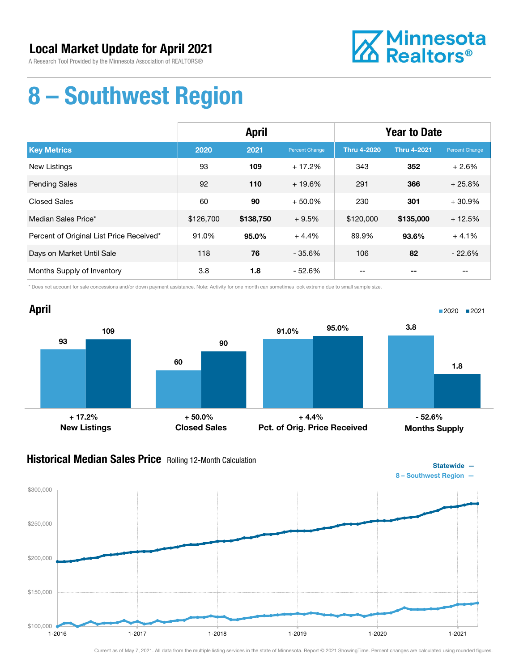A Research Tool Provided by the Minnesota Association of REALTORS®



## 8 – Southwest Region

|                                          | <b>April</b> |           |                | <b>Year to Date</b> |                    |                   |
|------------------------------------------|--------------|-----------|----------------|---------------------|--------------------|-------------------|
| <b>Key Metrics</b>                       | 2020         | 2021      | Percent Change | <b>Thru 4-2020</b>  | <b>Thru 4-2021</b> | Percent Change    |
| New Listings                             | 93           | 109       | $+17.2%$       | 343                 | 352                | $+2.6%$           |
| <b>Pending Sales</b>                     | 92           | 110       | $+19.6%$       | 291                 | 366                | $+25.8%$          |
| <b>Closed Sales</b>                      | 60           | 90        | $+50.0%$       | 230                 | 301                | $+30.9%$          |
| Median Sales Price*                      | \$126,700    | \$138,750 | $+9.5%$        | \$120,000           | \$135,000          | $+12.5%$          |
| Percent of Original List Price Received* | 91.0%        | 95.0%     | $+4.4%$        | 89.9%               | 93.6%              | $+4.1%$           |
| Days on Market Until Sale                | 118          | 76        | $-35.6%$       | 106                 | 82                 | $-22.6%$          |
| Months Supply of Inventory               | 3.8          | 1.8       | - 52.6%        | $- -$               | --                 | $\qquad \qquad -$ |

\* Does not account for sale concessions and/or down payment assistance. Note: Activity for one month can sometimes look extreme due to small sample size.



#### **Historical Median Sales Price** Rolling 12-Month Calculation



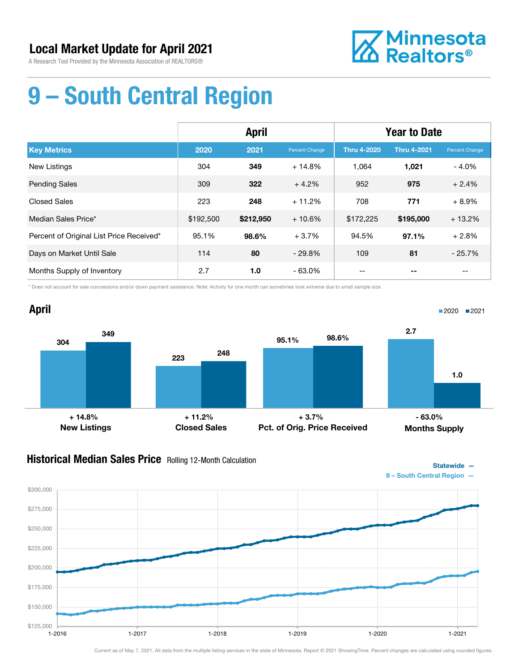A Research Tool Provided by the Minnesota Association of REALTORS®



# 9 – South Central Region

|                                          | <b>April</b> |           |                | <b>Year to Date</b> |                    |                       |
|------------------------------------------|--------------|-----------|----------------|---------------------|--------------------|-----------------------|
| <b>Key Metrics</b>                       | 2020         | 2021      | Percent Change | <b>Thru 4-2020</b>  | <b>Thru 4-2021</b> | <b>Percent Change</b> |
| <b>New Listings</b>                      | 304          | 349       | $+14.8%$       | 1,064               | 1,021              | $-4.0%$               |
| <b>Pending Sales</b>                     | 309          | 322       | $+4.2%$        | 952                 | 975                | $+2.4%$               |
| <b>Closed Sales</b>                      | 223          | 248       | $+11.2%$       | 708                 | 771                | $+8.9%$               |
| Median Sales Price*                      | \$192,500    | \$212,950 | $+10.6%$       | \$172,225           | \$195,000          | $+13.2%$              |
| Percent of Original List Price Received* | 95.1%        | 98.6%     | $+3.7%$        | 94.5%               | 97.1%              | $+2.8%$               |
| Days on Market Until Sale                | 114          | 80        | $-29.8%$       | 109                 | 81                 | $-25.7%$              |
| Months Supply of Inventory               | 2.7          | 1.0       | $-63.0%$       | --                  |                    | --                    |

\* Does not account for sale concessions and/or down payment assistance. Note: Activity for one month can sometimes look extreme due to small sample size.



#### **Historical Median Sales Price** Rolling 12-Month Calculation



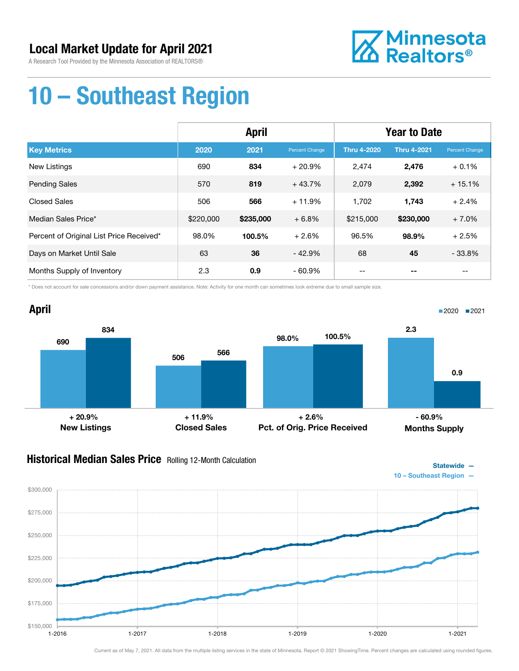A Research Tool Provided by the Minnesota Association of REALTORS®



## 10 – Southeast Region

|                                          | <b>April</b> |           |                | <b>Year to Date</b> |                    |                |
|------------------------------------------|--------------|-----------|----------------|---------------------|--------------------|----------------|
| <b>Key Metrics</b>                       | 2020         | 2021      | Percent Change | <b>Thru 4-2020</b>  | <b>Thru 4-2021</b> | Percent Change |
| New Listings                             | 690          | 834       | $+20.9%$       | 2,474               | 2,476              | $+0.1%$        |
| <b>Pending Sales</b>                     | 570          | 819       | $+43.7%$       | 2,079               | 2,392              | $+15.1%$       |
| <b>Closed Sales</b>                      | 506          | 566       | $+11.9%$       | 1,702               | 1,743              | $+2.4%$        |
| Median Sales Price*                      | \$220,000    | \$235,000 | $+6.8%$        | \$215,000           | \$230,000          | $+7.0%$        |
| Percent of Original List Price Received* | 98.0%        | 100.5%    | $+2.6%$        | 96.5%               | 98.9%              | $+2.5%$        |
| Days on Market Until Sale                | 63           | 36        | $-42.9%$       | 68                  | 45                 | $-33.8%$       |
| Months Supply of Inventory               | 2.3          | 0.9       | - 60.9%        |                     |                    |                |

\* Does not account for sale concessions and/or down payment assistance. Note: Activity for one month can sometimes look extreme due to small sample size.



#### **Historical Median Sales Price** Rolling 12-Month Calculation